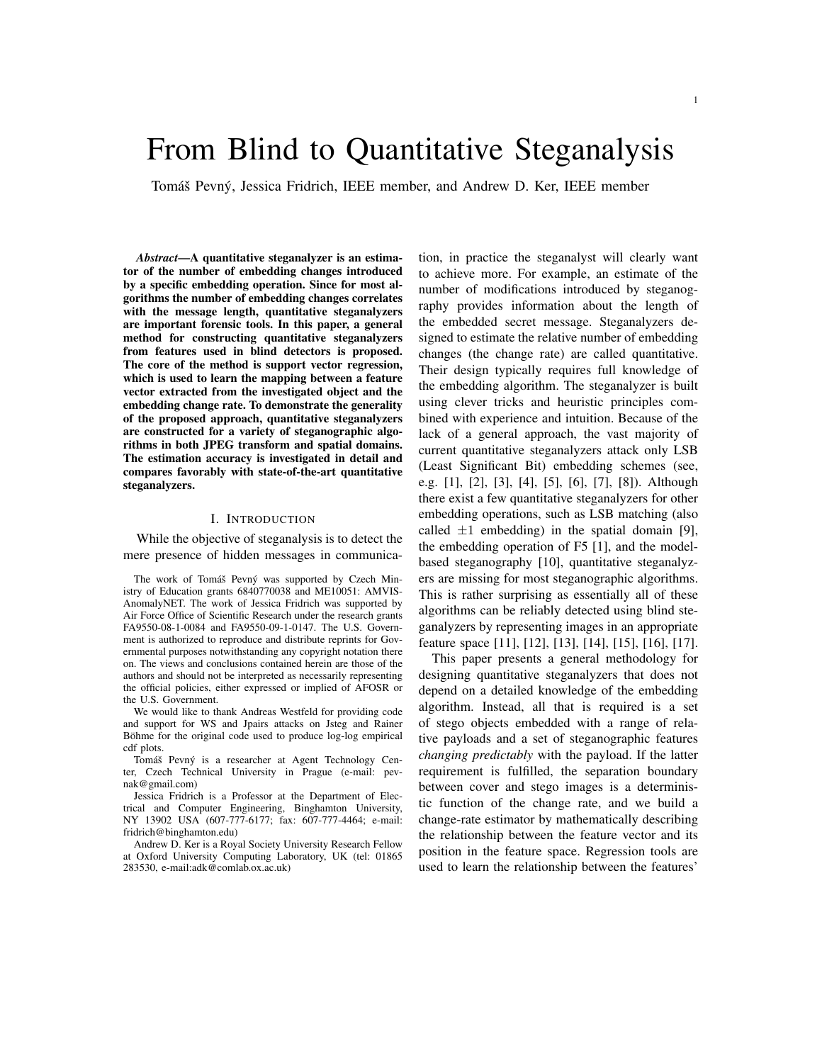# From Blind to Quantitative Steganalysis

Tomáš Pevný, Jessica Fridrich, IEEE member, and Andrew D. Ker, IEEE member

*Abstract*—A quantitative steganalyzer is an estimator of the number of embedding changes introduced by a specific embedding operation. Since for most algorithms the number of embedding changes correlates with the message length, quantitative steganalyzers are important forensic tools. In this paper, a general method for constructing quantitative steganalyzers from features used in blind detectors is proposed. The core of the method is support vector regression, which is used to learn the mapping between a feature vector extracted from the investigated object and the embedding change rate. To demonstrate the generality of the proposed approach, quantitative steganalyzers are constructed for a variety of steganographic algorithms in both JPEG transform and spatial domains. The estimation accuracy is investigated in detail and compares favorably with state-of-the-art quantitative steganalyzers.

#### I. INTRODUCTION

While the objective of steganalysis is to detect the mere presence of hidden messages in communica-

The work of Tomáš Pevný was supported by Czech Ministry of Education grants 6840770038 and ME10051: AMVIS-AnomalyNET. The work of Jessica Fridrich was supported by Air Force Office of Scientific Research under the research grants FA9550-08-1-0084 and FA9550-09-1-0147. The U.S. Government is authorized to reproduce and distribute reprints for Governmental purposes notwithstanding any copyright notation there on. The views and conclusions contained herein are those of the authors and should not be interpreted as necessarily representing the official policies, either expressed or implied of AFOSR or the U.S. Government.

We would like to thank Andreas Westfeld for providing code and support for WS and Jpairs attacks on Jsteg and Rainer Böhme for the original code used to produce log-log empirical cdf plots.

Tomáš Pevný is a researcher at Agent Technology Center, Czech Technical University in Prague (e-mail: pevnak@gmail.com)

Jessica Fridrich is a Professor at the Department of Electrical and Computer Engineering, Binghamton University, NY 13902 USA (607-777-6177; fax: 607-777-4464; e-mail: fridrich@binghamton.edu)

Andrew D. Ker is a Royal Society University Research Fellow at Oxford University Computing Laboratory, UK (tel: 01865 283530, e-mail:adk@comlab.ox.ac.uk)

tion, in practice the steganalyst will clearly want to achieve more. For example, an estimate of the number of modifications introduced by steganography provides information about the length of the embedded secret message. Steganalyzers designed to estimate the relative number of embedding changes (the change rate) are called quantitative. Their design typically requires full knowledge of the embedding algorithm. The steganalyzer is built using clever tricks and heuristic principles combined with experience and intuition. Because of the lack of a general approach, the vast majority of current quantitative steganalyzers attack only LSB (Least Significant Bit) embedding schemes (see, e.g. [1], [2], [3], [4], [5], [6], [7], [8]). Although there exist a few quantitative steganalyzers for other embedding operations, such as LSB matching (also called  $\pm 1$  embedding) in the spatial domain [9], the embedding operation of F5 [1], and the modelbased steganography [10], quantitative steganalyzers are missing for most steganographic algorithms. This is rather surprising as essentially all of these algorithms can be reliably detected using blind steganalyzers by representing images in an appropriate feature space [11], [12], [13], [14], [15], [16], [17].

This paper presents a general methodology for designing quantitative steganalyzers that does not depend on a detailed knowledge of the embedding algorithm. Instead, all that is required is a set of stego objects embedded with a range of relative payloads and a set of steganographic features *changing predictably* with the payload. If the latter requirement is fulfilled, the separation boundary between cover and stego images is a deterministic function of the change rate, and we build a change-rate estimator by mathematically describing the relationship between the feature vector and its position in the feature space. Regression tools are used to learn the relationship between the features'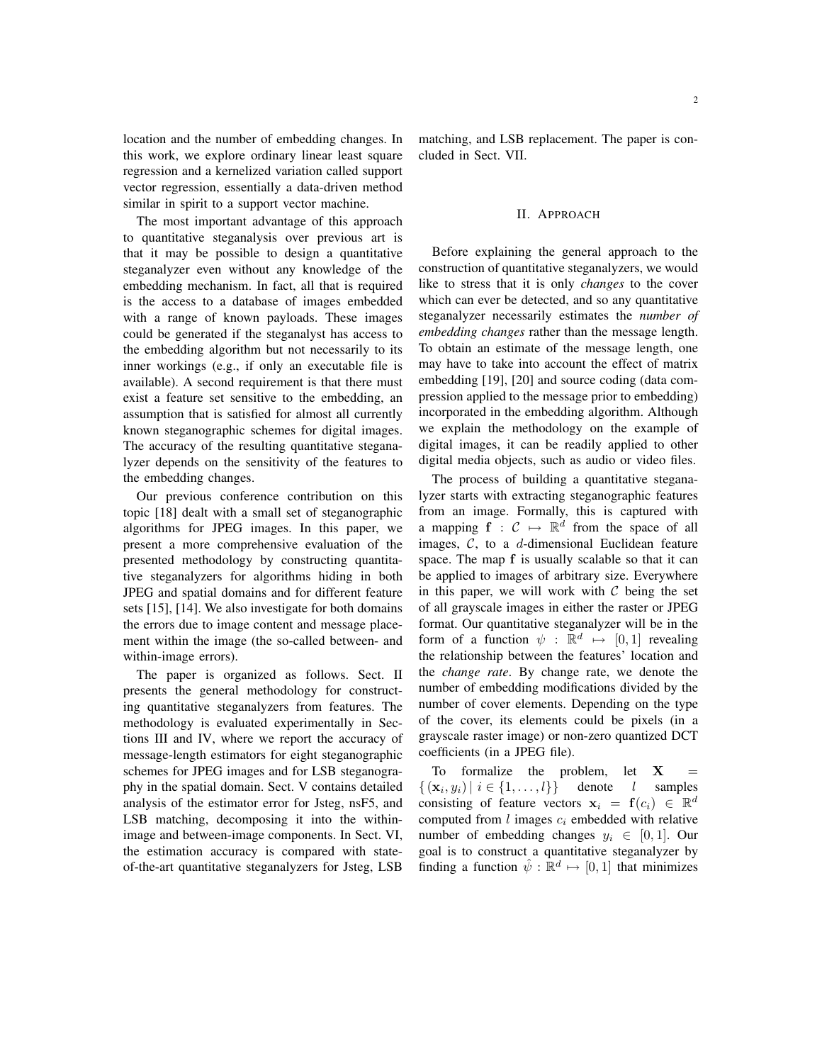location and the number of embedding changes. In this work, we explore ordinary linear least square regression and a kernelized variation called support vector regression, essentially a data-driven method similar in spirit to a support vector machine.

The most important advantage of this approach to quantitative steganalysis over previous art is that it may be possible to design a quantitative steganalyzer even without any knowledge of the embedding mechanism. In fact, all that is required is the access to a database of images embedded with a range of known payloads. These images could be generated if the steganalyst has access to the embedding algorithm but not necessarily to its inner workings (e.g., if only an executable file is available). A second requirement is that there must exist a feature set sensitive to the embedding, an assumption that is satisfied for almost all currently known steganographic schemes for digital images. The accuracy of the resulting quantitative steganalyzer depends on the sensitivity of the features to the embedding changes.

Our previous conference contribution on this topic [18] dealt with a small set of steganographic algorithms for JPEG images. In this paper, we present a more comprehensive evaluation of the presented methodology by constructing quantitative steganalyzers for algorithms hiding in both JPEG and spatial domains and for different feature sets [15], [14]. We also investigate for both domains the errors due to image content and message placement within the image (the so-called between- and within-image errors).

The paper is organized as follows. Sect. II presents the general methodology for constructing quantitative steganalyzers from features. The methodology is evaluated experimentally in Sections III and IV, where we report the accuracy of message-length estimators for eight steganographic schemes for JPEG images and for LSB steganography in the spatial domain. Sect. V contains detailed analysis of the estimator error for Jsteg, nsF5, and LSB matching, decomposing it into the withinimage and between-image components. In Sect. VI, the estimation accuracy is compared with stateof-the-art quantitative steganalyzers for Jsteg, LSB matching, and LSB replacement. The paper is concluded in Sect. VII.

# II. APPROACH

Before explaining the general approach to the construction of quantitative steganalyzers, we would like to stress that it is only *changes* to the cover which can ever be detected, and so any quantitative steganalyzer necessarily estimates the *number of embedding changes* rather than the message length. To obtain an estimate of the message length, one may have to take into account the effect of matrix embedding [19], [20] and source coding (data compression applied to the message prior to embedding) incorporated in the embedding algorithm. Although we explain the methodology on the example of digital images, it can be readily applied to other digital media objects, such as audio or video files.

The process of building a quantitative steganalyzer starts with extracting steganographic features from an image. Formally, this is captured with a mapping  $f : C \mapsto \mathbb{R}^d$  from the space of all images,  $C$ , to a d-dimensional Euclidean feature space. The map f is usually scalable so that it can be applied to images of arbitrary size. Everywhere in this paper, we will work with  $C$  being the set of all grayscale images in either the raster or JPEG format. Our quantitative steganalyzer will be in the form of a function  $\psi : \mathbb{R}^d \mapsto [0,1]$  revealing the relationship between the features' location and the *change rate*. By change rate, we denote the number of embedding modifications divided by the number of cover elements. Depending on the type of the cover, its elements could be pixels (in a grayscale raster image) or non-zero quantized DCT coefficients (in a JPEG file).

To formalize the problem, let  $X$  $\{(\mathbf{x}_i, y_i) \mid i \in \{1, \dots, l\}\}\$  denote *l* samples consisting of feature vectors  $\mathbf{x}_i = \mathbf{f}(c_i) \in \mathbb{R}^d$ computed from  $l$  images  $c_i$  embedded with relative number of embedding changes  $y_i \in [0,1]$ . Our goal is to construct a quantitative steganalyzer by finding a function  $\hat{\psi} : \mathbb{R}^d \mapsto [0, 1]$  that minimizes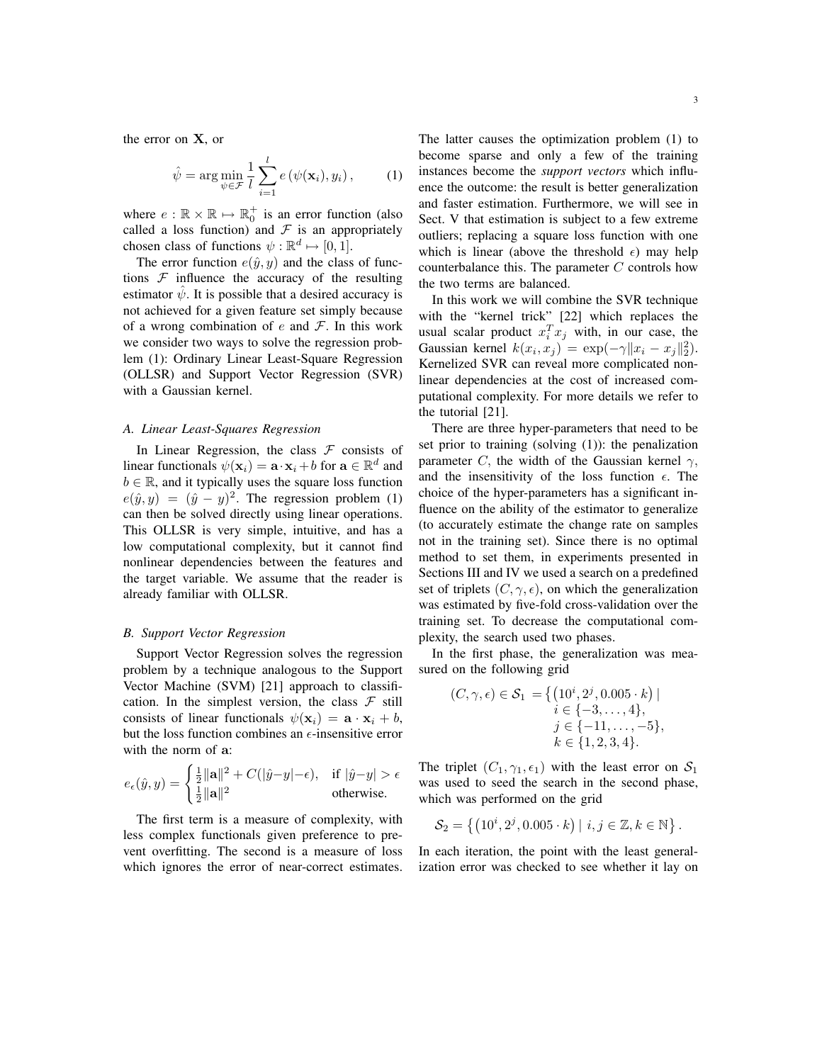the error on X, or

$$
\hat{\psi} = \arg\min_{\psi \in \mathcal{F}} \frac{1}{l} \sum_{i=1}^{l} e(\psi(\mathbf{x}_i), y_i), \quad (1)
$$

where  $e : \mathbb{R} \times \mathbb{R} \mapsto \mathbb{R}_0^+$  is an error function (also called a loss function) and  $\mathcal F$  is an appropriately chosen class of functions  $\psi : \mathbb{R}^d \mapsto [0, 1]$ .

The error function  $e(\hat{y}, y)$  and the class of functions  $F$  influence the accuracy of the resulting estimator  $\psi$ . It is possible that a desired accuracy is not achieved for a given feature set simply because of a wrong combination of  $e$  and  $\mathcal F$ . In this work we consider two ways to solve the regression problem (1): Ordinary Linear Least-Square Regression (OLLSR) and Support Vector Regression (SVR) with a Gaussian kernel.

# *A. Linear Least-Squares Regression*

In Linear Regression, the class  $F$  consists of linear functionals  $\psi(\mathbf{x}_i) = \mathbf{a} \cdot \mathbf{x}_i + b$  for  $\mathbf{a} \in \mathbb{R}^d$  and  $b \in \mathbb{R}$ , and it typically uses the square loss function  $e(\hat{y}, y) = (\hat{y} - y)^2$ . The regression problem (1) can then be solved directly using linear operations. This OLLSR is very simple, intuitive, and has a low computational complexity, but it cannot find nonlinear dependencies between the features and the target variable. We assume that the reader is already familiar with OLLSR.

## *B. Support Vector Regression*

Support Vector Regression solves the regression problem by a technique analogous to the Support Vector Machine (SVM) [21] approach to classification. In the simplest version, the class  $\mathcal F$  still consists of linear functionals  $\psi(\mathbf{x}_i) = \mathbf{a} \cdot \mathbf{x}_i + b$ , but the loss function combines an  $\epsilon$ -insensitive error with the norm of a:

$$
e_{\epsilon}(\hat{y}, y) = \begin{cases} \frac{1}{2} ||\mathbf{a}||^2 + C(|\hat{y} - y| - \epsilon), & \text{if } |\hat{y} - y| > \epsilon \\ \frac{1}{2} ||\mathbf{a}||^2 & \text{otherwise.} \end{cases}
$$

The first term is a measure of complexity, with less complex functionals given preference to prevent overfitting. The second is a measure of loss which ignores the error of near-correct estimates. The latter causes the optimization problem (1) to become sparse and only a few of the training instances become the *support vectors* which influence the outcome: the result is better generalization and faster estimation. Furthermore, we will see in Sect. V that estimation is subject to a few extreme outliers; replacing a square loss function with one which is linear (above the threshold  $\epsilon$ ) may help counterbalance this. The parameter  $C$  controls how the two terms are balanced.

In this work we will combine the SVR technique with the "kernel trick" [22] which replaces the usual scalar product  $x_i^T x_j$  with, in our case, the Gaussian kernel  $k(x_i, x_j) = \exp(-\gamma ||x_i - x_j||_2^2)$ . Kernelized SVR can reveal more complicated nonlinear dependencies at the cost of increased computational complexity. For more details we refer to the tutorial [21].

There are three hyper-parameters that need to be set prior to training (solving (1)): the penalization parameter C, the width of the Gaussian kernel  $\gamma$ , and the insensitivity of the loss function  $\epsilon$ . The choice of the hyper-parameters has a significant influence on the ability of the estimator to generalize (to accurately estimate the change rate on samples not in the training set). Since there is no optimal method to set them, in experiments presented in Sections III and IV we used a search on a predefined set of triplets  $(C, \gamma, \epsilon)$ , on which the generalization was estimated by five-fold cross-validation over the training set. To decrease the computational complexity, the search used two phases.

In the first phase, the generalization was measured on the following grid

$$
(C, \gamma, \epsilon) \in \mathcal{S}_1 = \{ (10^i, 2^j, 0.005 \cdot k) \mid i \in \{-3, ..., 4\}, j \in \{-11, ..., -5\}, k \in \{1, 2, 3, 4\}.
$$

The triplet  $(C_1, \gamma_1, \epsilon_1)$  with the least error on  $S_1$ was used to seed the search in the second phase, which was performed on the grid

$$
\mathcal{S}_2 = \left\{ \left( 10^i, 2^j, 0.005 \cdot k \right) \mid i, j \in \mathbb{Z}, k \in \mathbb{N} \right\}.
$$

In each iteration, the point with the least generalization error was checked to see whether it lay on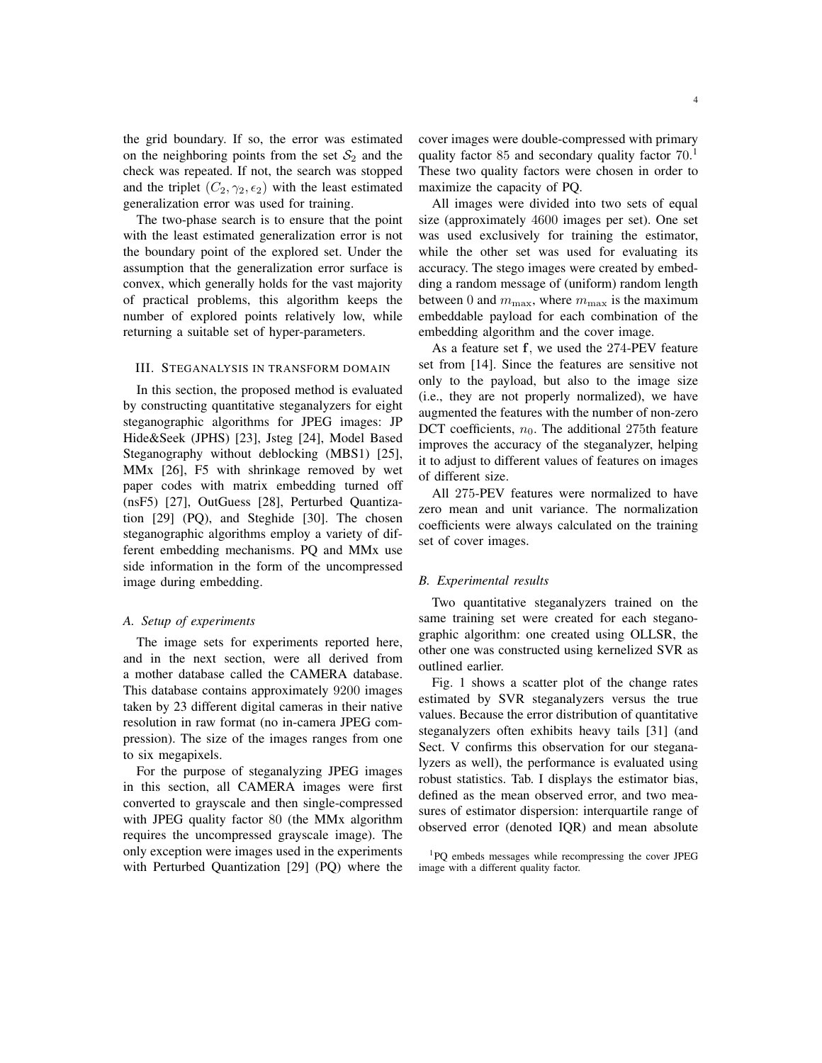the grid boundary. If so, the error was estimated on the neighboring points from the set  $S_2$  and the check was repeated. If not, the search was stopped and the triplet  $(C_2, \gamma_2, \epsilon_2)$  with the least estimated generalization error was used for training.

The two-phase search is to ensure that the point with the least estimated generalization error is not the boundary point of the explored set. Under the assumption that the generalization error surface is convex, which generally holds for the vast majority of practical problems, this algorithm keeps the number of explored points relatively low, while returning a suitable set of hyper-parameters.

## III. STEGANALYSIS IN TRANSFORM DOMAIN

In this section, the proposed method is evaluated by constructing quantitative steganalyzers for eight steganographic algorithms for JPEG images: JP Hide&Seek (JPHS) [23], Jsteg [24], Model Based Steganography without deblocking (MBS1) [25], MMx [26], F5 with shrinkage removed by wet paper codes with matrix embedding turned off (nsF5) [27], OutGuess [28], Perturbed Quantization [29] (PQ), and Steghide [30]. The chosen steganographic algorithms employ a variety of different embedding mechanisms. PQ and MMx use side information in the form of the uncompressed image during embedding.

# *A. Setup of experiments*

The image sets for experiments reported here, and in the next section, were all derived from a mother database called the CAMERA database. This database contains approximately 9200 images taken by 23 different digital cameras in their native resolution in raw format (no in-camera JPEG compression). The size of the images ranges from one to six megapixels.

For the purpose of steganalyzing JPEG images in this section, all CAMERA images were first converted to grayscale and then single-compressed with JPEG quality factor 80 (the MMx algorithm requires the uncompressed grayscale image). The only exception were images used in the experiments with Perturbed Quantization [29] (PQ) where the cover images were double-compressed with primary quality factor  $85$  and secondary quality factor  $70<sup>1</sup>$ These two quality factors were chosen in order to maximize the capacity of PQ.

All images were divided into two sets of equal size (approximately 4600 images per set). One set was used exclusively for training the estimator, while the other set was used for evaluating its accuracy. The stego images were created by embedding a random message of (uniform) random length between 0 and  $m_{\text{max}}$ , where  $m_{\text{max}}$  is the maximum embeddable payload for each combination of the embedding algorithm and the cover image.

As a feature set f, we used the 274-PEV feature set from [14]. Since the features are sensitive not only to the payload, but also to the image size (i.e., they are not properly normalized), we have augmented the features with the number of non-zero DCT coefficients,  $n_0$ . The additional 275th feature improves the accuracy of the steganalyzer, helping it to adjust to different values of features on images of different size.

All 275-PEV features were normalized to have zero mean and unit variance. The normalization coefficients were always calculated on the training set of cover images.

## *B. Experimental results*

Two quantitative steganalyzers trained on the same training set were created for each steganographic algorithm: one created using OLLSR, the other one was constructed using kernelized SVR as outlined earlier.

Fig. 1 shows a scatter plot of the change rates estimated by SVR steganalyzers versus the true values. Because the error distribution of quantitative steganalyzers often exhibits heavy tails [31] (and Sect. V confirms this observation for our steganalyzers as well), the performance is evaluated using robust statistics. Tab. I displays the estimator bias, defined as the mean observed error, and two measures of estimator dispersion: interquartile range of observed error (denoted IQR) and mean absolute

<sup>1</sup>PQ embeds messages while recompressing the cover JPEG image with a different quality factor.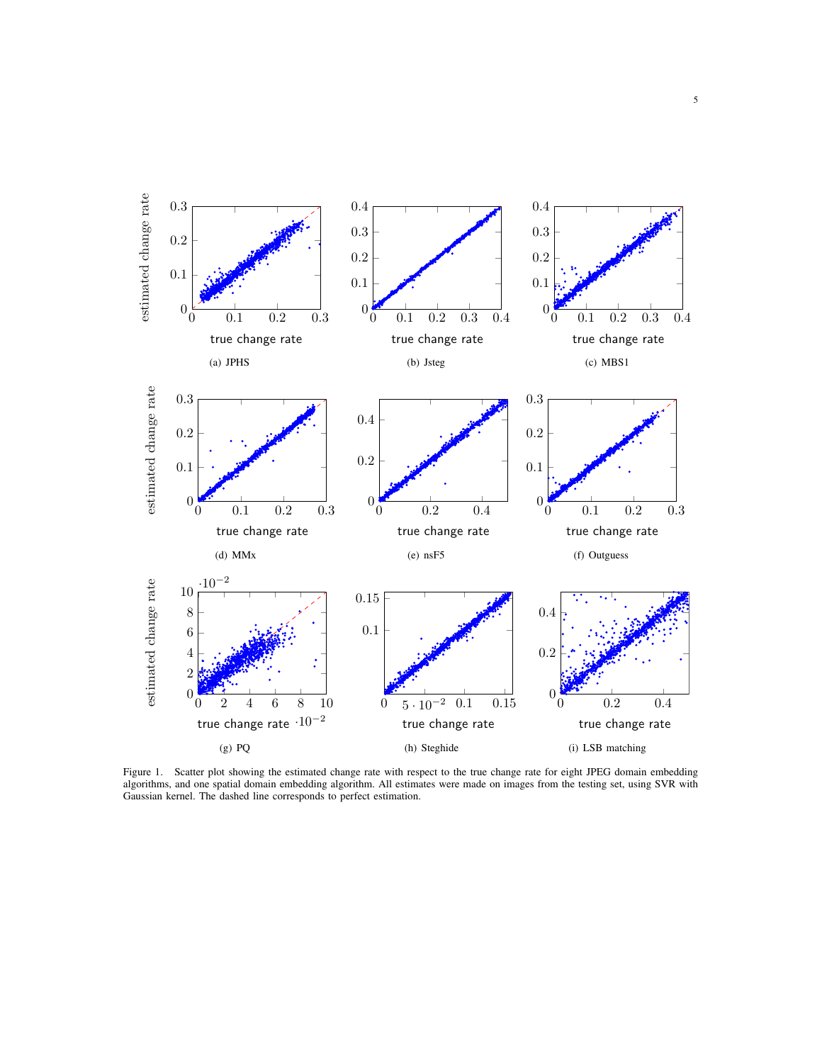

Figure 1. Scatter plot showing the estimated change rate with respect to the true change rate for eight JPEG domain embedding algorithms, and one spatial domain embedding algorithm. All estimates were made on images from the testing set, using SVR with Gaussian kernel. The dashed line corresponds to perfect estimation.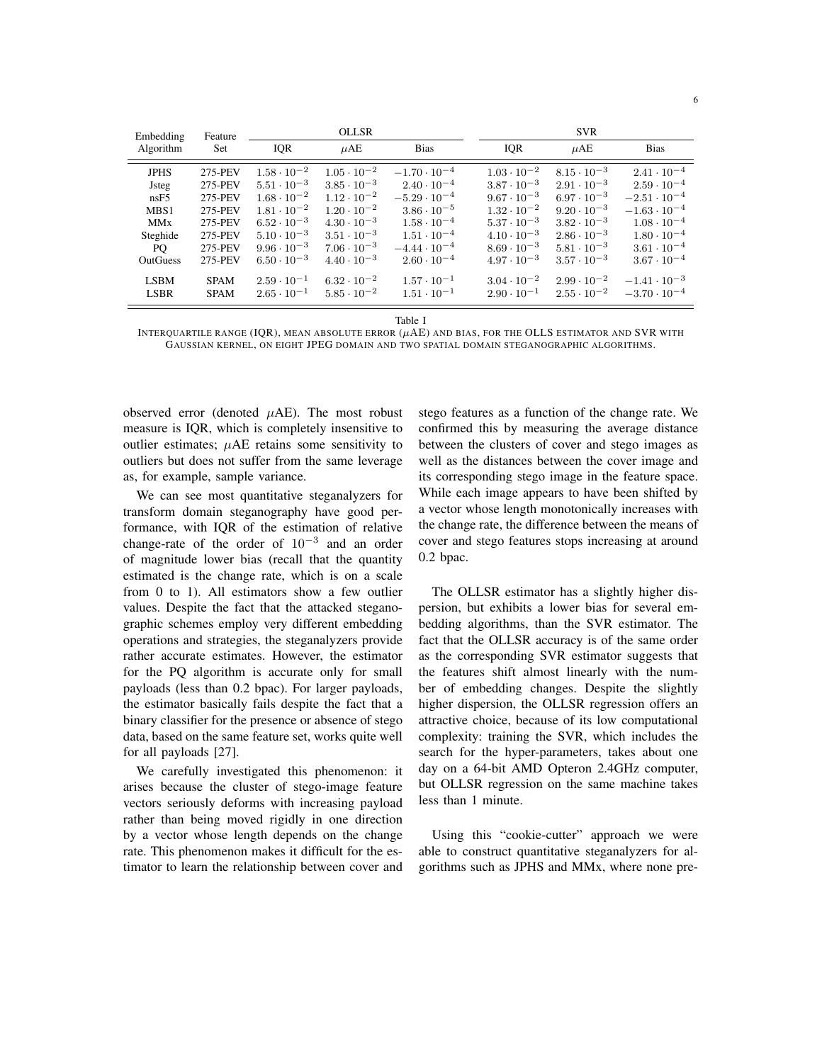| Embedding           | Feature                    |                                              | <b>OLLSR</b>                                 |                                              | <b>SVR</b>                                   |                                              |                                                |  |
|---------------------|----------------------------|----------------------------------------------|----------------------------------------------|----------------------------------------------|----------------------------------------------|----------------------------------------------|------------------------------------------------|--|
| Algorithm           | Set                        | <b>IOR</b>                                   | $\mu$ AE                                     | <b>Bias</b>                                  | <b>IOR</b>                                   | $\mu$ AE                                     | <b>Bias</b>                                    |  |
| <b>JPHS</b>         | 275-PEV                    | $1.58 \cdot 10^{-2}$                         | $1.05 \cdot 10^{-2}$                         | $-1.70 \cdot 10^{-4}$                        | $1.03 \cdot 10^{-2}$                         | $8.15 \cdot 10^{-3}$                         | $2.41 \cdot 10^{-4}$                           |  |
| Jsteg               | 275-PEV                    | $5.51 \cdot 10^{-3}$                         | $3.85 \cdot 10^{-3}$                         | $2.40 \cdot 10^{-4}$                         | $3.87 \cdot 10^{-3}$                         | $2.91 \cdot 10^{-3}$                         | $2.59 \cdot 10^{-4}$                           |  |
| nsF5                | 275-PEV                    | $1.68 \cdot 10^{-2}$                         | $1.12 \cdot 10^{-2}$                         | $-5.29 \cdot 10^{-4}$                        | $9.67 \cdot 10^{-3}$                         | $6.97 \cdot 10^{-3}$                         | $-2.51 \cdot 10^{-4}$                          |  |
| MBS1                | 275-PEV                    | $1.81 \cdot 10^{-2}$                         | $1.20 \cdot 10^{-2}$                         | $3.86 \cdot 10^{-5}$                         | $1.32 \cdot 10^{-2}$                         | $9.20 \cdot 10^{-3}$                         | $-1.63 \cdot 10^{-4}$                          |  |
| <b>MMx</b>          | 275-PEV                    | $6.52 \cdot 10^{-3}$                         | $4.30 \cdot 10^{-3}$                         | $1.58 \cdot 10^{-4}$                         | $5.37 \cdot 10^{-3}$                         | $3.82 \cdot 10^{-3}$                         | $1.08 \cdot 10^{-4}$                           |  |
| Steghide            | 275-PEV                    | $5.10 \cdot 10^{-3}$                         | $3.51 \cdot 10^{-3}$                         | $1.51 \cdot 10^{-4}$                         | $4.10 \cdot 10^{-3}$                         | $2.86 \cdot 10^{-3}$                         | $1.80 \cdot 10^{-4}$                           |  |
| PO.                 | 275-PEV                    | $9.96 \cdot 10^{-3}$                         | $7.06 \cdot 10^{-3}$                         | $-4.44 \cdot 10^{-4}$                        | $8.69 \cdot 10^{-3}$                         | $5.81 \cdot 10^{-3}$                         | $3.61 \cdot 10^{-4}$                           |  |
| <b>OutGuess</b>     | 275-PEV                    | $6.50 \cdot 10^{-3}$                         | $4.40 \cdot 10^{-3}$                         | $2.60 \cdot 10^{-4}$                         | $4.97 \cdot 10^{-3}$                         | $3.57 \cdot 10^{-3}$                         | $3.67 \cdot 10^{-4}$                           |  |
| LSBM<br><b>LSBR</b> | <b>SPAM</b><br><b>SPAM</b> | $2.59 \cdot 10^{-1}$<br>$2.65 \cdot 10^{-1}$ | $6.32 \cdot 10^{-2}$<br>$5.85 \cdot 10^{-2}$ | $1.57 \cdot 10^{-1}$<br>$1.51 \cdot 10^{-1}$ | $3.04 \cdot 10^{-2}$<br>$2.90 \cdot 10^{-1}$ | $2.99 \cdot 10^{-2}$<br>$2.55 \cdot 10^{-2}$ | $-1.41 \cdot 10^{-3}$<br>$-3.70 \cdot 10^{-4}$ |  |
|                     |                            |                                              |                                              |                                              |                                              |                                              |                                                |  |

Table I

INTERQUARTILE RANGE (IQR), MEAN ABSOLUTE ERROR  $(\mu AE)$  and bias, for the OLLS estimator and SVR with GAUSSIAN KERNEL, ON EIGHT JPEG DOMAIN AND TWO SPATIAL DOMAIN STEGANOGRAPHIC ALGORITHMS.

observed error (denoted  $\mu$ AE). The most robust measure is IQR, which is completely insensitive to outlier estimates;  $\mu$ AE retains some sensitivity to outliers but does not suffer from the same leverage as, for example, sample variance.

We can see most quantitative steganalyzers for transform domain steganography have good performance, with IQR of the estimation of relative change-rate of the order of  $10^{-3}$  and an order of magnitude lower bias (recall that the quantity estimated is the change rate, which is on a scale from 0 to 1). All estimators show a few outlier values. Despite the fact that the attacked steganographic schemes employ very different embedding operations and strategies, the steganalyzers provide rather accurate estimates. However, the estimator for the PQ algorithm is accurate only for small payloads (less than 0.2 bpac). For larger payloads, the estimator basically fails despite the fact that a binary classifier for the presence or absence of stego data, based on the same feature set, works quite well for all payloads [27].

We carefully investigated this phenomenon: it arises because the cluster of stego-image feature vectors seriously deforms with increasing payload rather than being moved rigidly in one direction by a vector whose length depends on the change rate. This phenomenon makes it difficult for the estimator to learn the relationship between cover and

stego features as a function of the change rate. We confirmed this by measuring the average distance between the clusters of cover and stego images as well as the distances between the cover image and its corresponding stego image in the feature space. While each image appears to have been shifted by a vector whose length monotonically increases with the change rate, the difference between the means of cover and stego features stops increasing at around 0.2 bpac.

The OLLSR estimator has a slightly higher dispersion, but exhibits a lower bias for several embedding algorithms, than the SVR estimator. The fact that the OLLSR accuracy is of the same order as the corresponding SVR estimator suggests that the features shift almost linearly with the number of embedding changes. Despite the slightly higher dispersion, the OLLSR regression offers an attractive choice, because of its low computational complexity: training the SVR, which includes the search for the hyper-parameters, takes about one day on a 64-bit AMD Opteron 2.4GHz computer, but OLLSR regression on the same machine takes less than 1 minute.

Using this "cookie-cutter" approach we were able to construct quantitative steganalyzers for algorithms such as JPHS and MMx, where none pre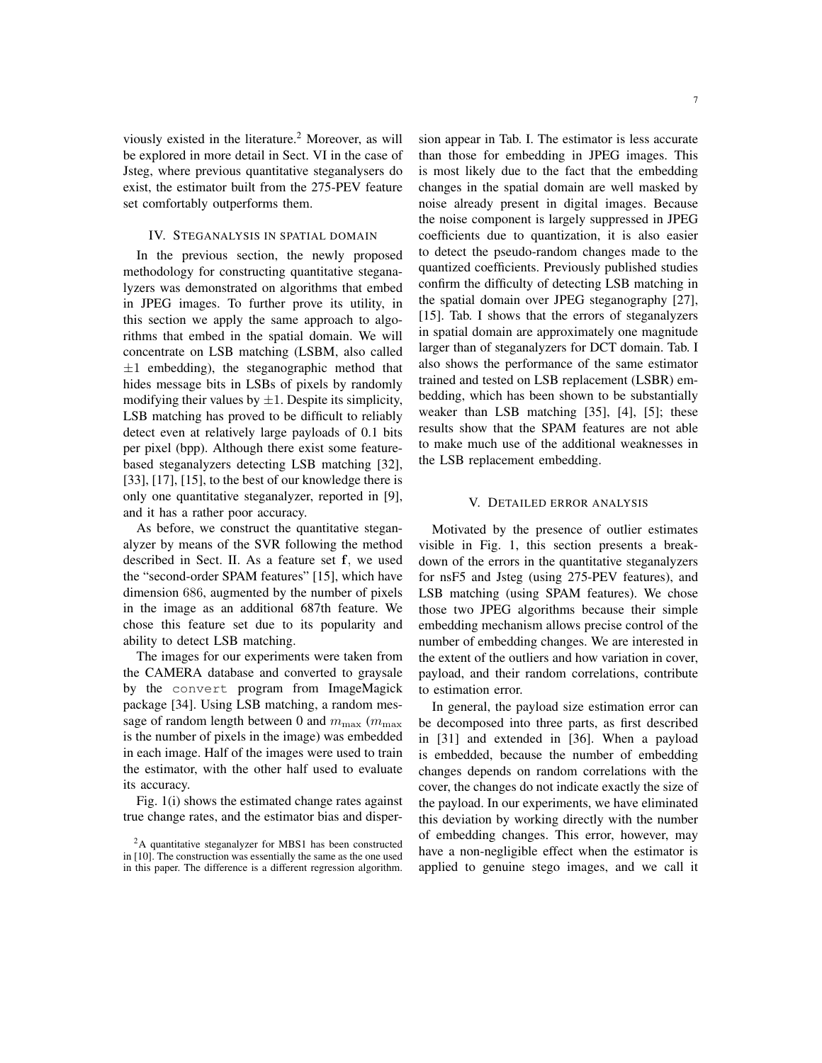viously existed in the literature.<sup>2</sup> Moreover, as will be explored in more detail in Sect. VI in the case of Jsteg, where previous quantitative steganalysers do exist, the estimator built from the 275-PEV feature set comfortably outperforms them.

#### IV. STEGANALYSIS IN SPATIAL DOMAIN

In the previous section, the newly proposed methodology for constructing quantitative steganalyzers was demonstrated on algorithms that embed in JPEG images. To further prove its utility, in this section we apply the same approach to algorithms that embed in the spatial domain. We will concentrate on LSB matching (LSBM, also called  $\pm 1$  embedding), the steganographic method that hides message bits in LSBs of pixels by randomly modifying their values by  $\pm 1$ . Despite its simplicity, LSB matching has proved to be difficult to reliably detect even at relatively large payloads of 0.1 bits per pixel (bpp). Although there exist some featurebased steganalyzers detecting LSB matching [32],  $[33]$ ,  $[17]$ ,  $[15]$ , to the best of our knowledge there is only one quantitative steganalyzer, reported in [9], and it has a rather poor accuracy.

As before, we construct the quantitative steganalyzer by means of the SVR following the method described in Sect. II. As a feature set f, we used the "second-order SPAM features" [15], which have dimension 686, augmented by the number of pixels in the image as an additional 687th feature. We chose this feature set due to its popularity and ability to detect LSB matching.

The images for our experiments were taken from the CAMERA database and converted to graysale by the convert program from ImageMagick package [34]. Using LSB matching, a random message of random length between 0 and  $m_{\text{max}}$  ( $m_{\text{max}}$ ) is the number of pixels in the image) was embedded in each image. Half of the images were used to train the estimator, with the other half used to evaluate its accuracy.

Fig. 1(i) shows the estimated change rates against true change rates, and the estimator bias and dispersion appear in Tab. I. The estimator is less accurate than those for embedding in JPEG images. This is most likely due to the fact that the embedding changes in the spatial domain are well masked by noise already present in digital images. Because the noise component is largely suppressed in JPEG coefficients due to quantization, it is also easier to detect the pseudo-random changes made to the quantized coefficients. Previously published studies confirm the difficulty of detecting LSB matching in the spatial domain over JPEG steganography [27], [15]. Tab. I shows that the errors of steganalyzers in spatial domain are approximately one magnitude larger than of steganalyzers for DCT domain. Tab. I also shows the performance of the same estimator trained and tested on LSB replacement (LSBR) embedding, which has been shown to be substantially weaker than LSB matching [35], [4], [5]; these results show that the SPAM features are not able to make much use of the additional weaknesses in the LSB replacement embedding.

# V. DETAILED ERROR ANALYSIS

Motivated by the presence of outlier estimates visible in Fig. 1, this section presents a breakdown of the errors in the quantitative steganalyzers for nsF5 and Jsteg (using 275-PEV features), and LSB matching (using SPAM features). We chose those two JPEG algorithms because their simple embedding mechanism allows precise control of the number of embedding changes. We are interested in the extent of the outliers and how variation in cover, payload, and their random correlations, contribute to estimation error.

In general, the payload size estimation error can be decomposed into three parts, as first described in [31] and extended in [36]. When a payload is embedded, because the number of embedding changes depends on random correlations with the cover, the changes do not indicate exactly the size of the payload. In our experiments, we have eliminated this deviation by working directly with the number of embedding changes. This error, however, may have a non-negligible effect when the estimator is applied to genuine stego images, and we call it

<sup>&</sup>lt;sup>2</sup>A quantitative steganalyzer for MBS1 has been constructed in [10]. The construction was essentially the same as the one used in this paper. The difference is a different regression algorithm.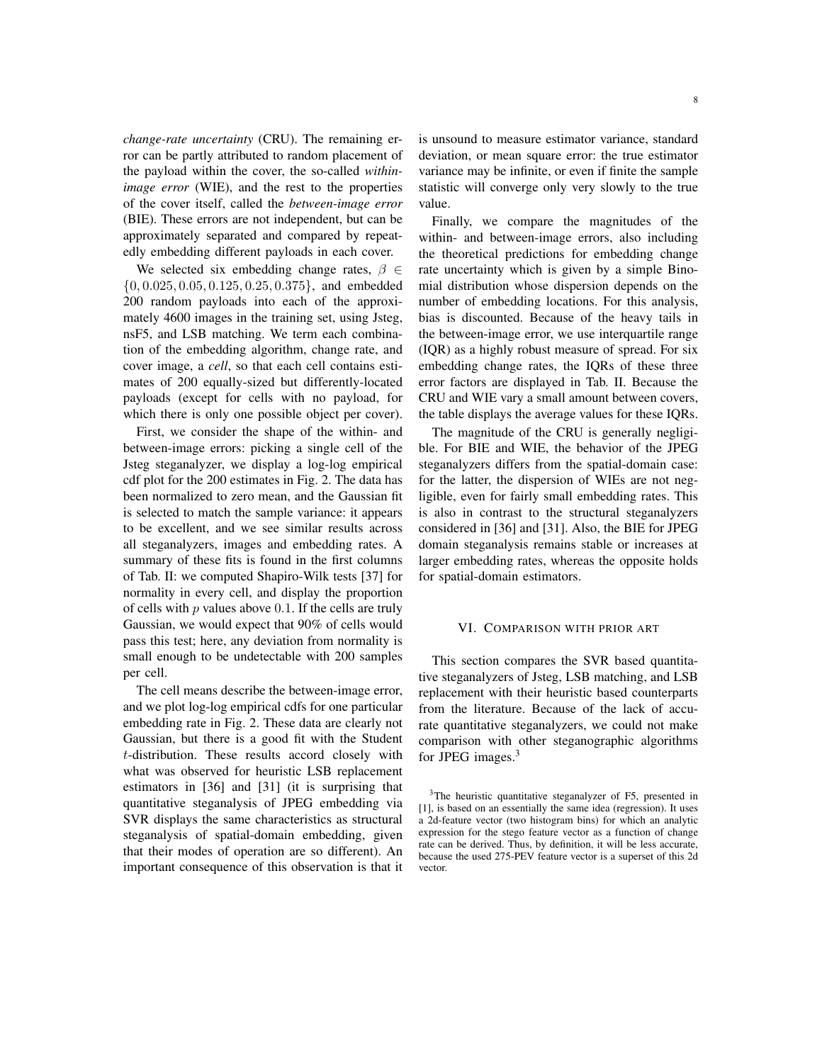*change-rate uncertainty* (CRU). The remaining error can be partly attributed to random placement of the payload within the cover, the so-called *withinimage error* (WIE), and the rest to the properties of the cover itself, called the *between-image error* (BIE). These errors are not independent, but can be approximately separated and compared by repeatedly embedding different payloads in each cover.

We selected six embedding change rates,  $\beta \in$  $\{0, 0.025, 0.05, 0.125, 0.25, 0.375\}$ , and embedded 200 random payloads into each of the approximately 4600 images in the training set, using Jsteg, nsF5, and LSB matching. We term each combination of the embedding algorithm, change rate, and cover image, a *cell*, so that each cell contains estimates of 200 equally-sized but differently-located payloads (except for cells with no payload, for which there is only one possible object per cover).

First, we consider the shape of the within- and between-image errors: picking a single cell of the Jsteg steganalyzer, we display a log-log empirical cdf plot for the 200 estimates in Fig. 2. The data has been normalized to zero mean, and the Gaussian fit is selected to match the sample variance: it appears to be excellent, and we see similar results across all steganalyzers, images and embedding rates. A summary of these fits is found in the first columns of Tab. II: we computed Shapiro-Wilk tests [37] for normality in every cell, and display the proportion of cells with  $p$  values above 0.1. If the cells are truly Gaussian, we would expect that 90% of cells would pass this test; here, any deviation from normality is small enough to be undetectable with 200 samples per cell.

The cell means describe the between-image error, and we plot log-log empirical cdfs for one particular embedding rate in Fig. 2. These data are clearly not Gaussian, but there is a good fit with the Student t-distribution. These results accord closely with what was observed for heuristic LSB replacement estimators in [36] and [31] (it is surprising that quantitative steganalysis of JPEG embedding via SVR displays the same characteristics as structural steganalysis of spatial-domain embedding, given that their modes of operation are so different). An important consequence of this observation is that it is unsound to measure estimator variance, standard deviation, or mean square error: the true estimator variance may be infinite, or even if finite the sample statistic will converge only very slowly to the true value.

Finally, we compare the magnitudes of the within- and between-image errors, also including the theoretical predictions for embedding change rate uncertainty which is given by a simple Binomial distribution whose dispersion depends on the number of embedding locations. For this analysis, bias is discounted. Because of the heavy tails in the between-image error, we use interquartile range (IQR) as a highly robust measure of spread. For six embedding change rates, the IQRs of these three error factors are displayed in Tab. II. Because the CRU and WIE vary a small amount between covers, the table displays the average values for these IQRs.

The magnitude of the CRU is generally negligible. For BIE and WIE, the behavior of the JPEG steganalyzers differs from the spatial-domain case: for the latter, the dispersion of WIEs are not negligible, even for fairly small embedding rates. This is also in contrast to the structural steganalyzers considered in [36] and [31]. Also, the BIE for JPEG domain steganalysis remains stable or increases at larger embedding rates, whereas the opposite holds for spatial-domain estimators.

## VI. COMPARISON WITH PRIOR ART

This section compares the SVR based quantitative steganalyzers of Jsteg, LSB matching, and LSB replacement with their heuristic based counterparts from the literature. Because of the lack of accurate quantitative steganalyzers, we could not make comparison with other steganographic algorithms for JPEG images.<sup>3</sup>

<sup>3</sup>The heuristic quantitative steganalyzer of F5, presented in [1], is based on an essentially the same idea (regression). It uses a 2d-feature vector (two histogram bins) for which an analytic expression for the stego feature vector as a function of change rate can be derived. Thus, by definition, it will be less accurate, because the used 275-PEV feature vector is a superset of this 2d vector.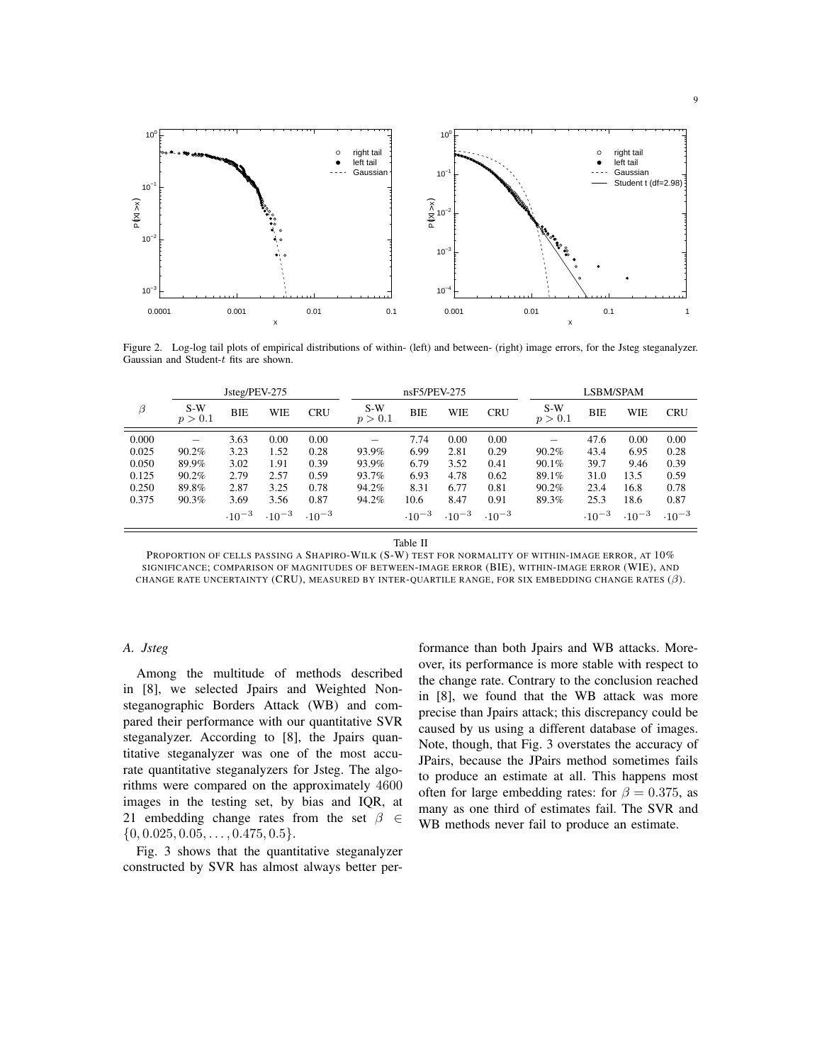

Figure 2. Log-log tail plots of empirical distributions of within- (left) and between- (right) image errors, for the Jsteg steganalyzer. Gaussian and Student-t fits are shown.

|       | Jsteg/PEV-275    |            |            | $nsF5/PEV-275$ |                  |            |                 | LSBM/SPAM  |                  |            |                 |            |
|-------|------------------|------------|------------|----------------|------------------|------------|-----------------|------------|------------------|------------|-----------------|------------|
| β     | $S-W$<br>p > 0.1 | BIE        | WIE        | <b>CRU</b>     | $S-W$<br>p > 0.1 | BIE        | WIE             | <b>CRU</b> | $S-W$<br>p > 0.1 | <b>BIE</b> | WIE             | <b>CRU</b> |
| 0.000 |                  | 3.63       | 0.00       | 0.00           |                  | 7.74       | 0.00            | 0.00       |                  | 47.6       | 0.00            | 0.00       |
| 0.025 | 90.2%            | 3.23       | 1.52       | 0.28           | 93.9%            | 6.99       | 2.81            | 0.29       | 90.2%            | 43.4       | 6.95            | 0.28       |
| 0.050 | 89.9%            | 3.02       | 1.91       | 0.39           | 93.9%            | 6.79       | 3.52            | 0.41       | 90.1%            | 39.7       | 9.46            | 0.39       |
| 0.125 | 90.2%            | 2.79       | 2.57       | 0.59           | 93.7%            | 6.93       | 4.78            | 0.62       | 89.1%            | 31.0       | 13.5            | 0.59       |
| 0.250 | 89.8%            | 2.87       | 3.25       | 0.78           | 94.2%            | 8.31       | 6.77            | 0.81       | 90.2%            | 23.4       | 16.8            | 0.78       |
| 0.375 | 90.3%            | 3.69       | 3.56       | 0.87           | 94.2%            | 10.6       | 8.47            | 0.91       | 89.3%            | 25.3       | 18.6            | 0.87       |
|       |                  | $.10^{-3}$ | $.10^{-3}$ | $.10^{-3}$     |                  | $-10^{-3}$ | $\cdot 10^{-3}$ | $-10^{-3}$ |                  | $.10^{-3}$ | $\cdot 10^{-3}$ | $-10^{-3}$ |

Table II

PROPORTION OF CELLS PASSING A SHAPIRO-WILK (S-W) TEST FOR NORMALITY OF WITHIN-IMAGE ERROR, AT 10% SIGNIFICANCE; COMPARISON OF MAGNITUDES OF BETWEEN-IMAGE ERROR (BIE), WITHIN-IMAGE ERROR (WIE), AND CHANGE RATE UNCERTAINTY (CRU), MEASURED BY INTER-QUARTILE RANGE, FOR SIX EMBEDDING CHANGE RATES (β).

# *A. Jsteg*

Among the multitude of methods described in [8], we selected Jpairs and Weighted Nonsteganographic Borders Attack (WB) and compared their performance with our quantitative SVR steganalyzer. According to [8], the Jpairs quantitative steganalyzer was one of the most accurate quantitative steganalyzers for Jsteg. The algorithms were compared on the approximately 4600 images in the testing set, by bias and IQR, at 21 embedding change rates from the set  $\beta \in$  $\{0, 0.025, 0.05, \ldots, 0.475, 0.5\}.$ 

Fig. 3 shows that the quantitative steganalyzer constructed by SVR has almost always better per-

formance than both Jpairs and WB attacks. Moreover, its performance is more stable with respect to the change rate. Contrary to the conclusion reached in [8], we found that the WB attack was more precise than Jpairs attack; this discrepancy could be caused by us using a different database of images. Note, though, that Fig. 3 overstates the accuracy of JPairs, because the JPairs method sometimes fails to produce an estimate at all. This happens most often for large embedding rates: for  $\beta = 0.375$ , as many as one third of estimates fail. The SVR and WB methods never fail to produce an estimate.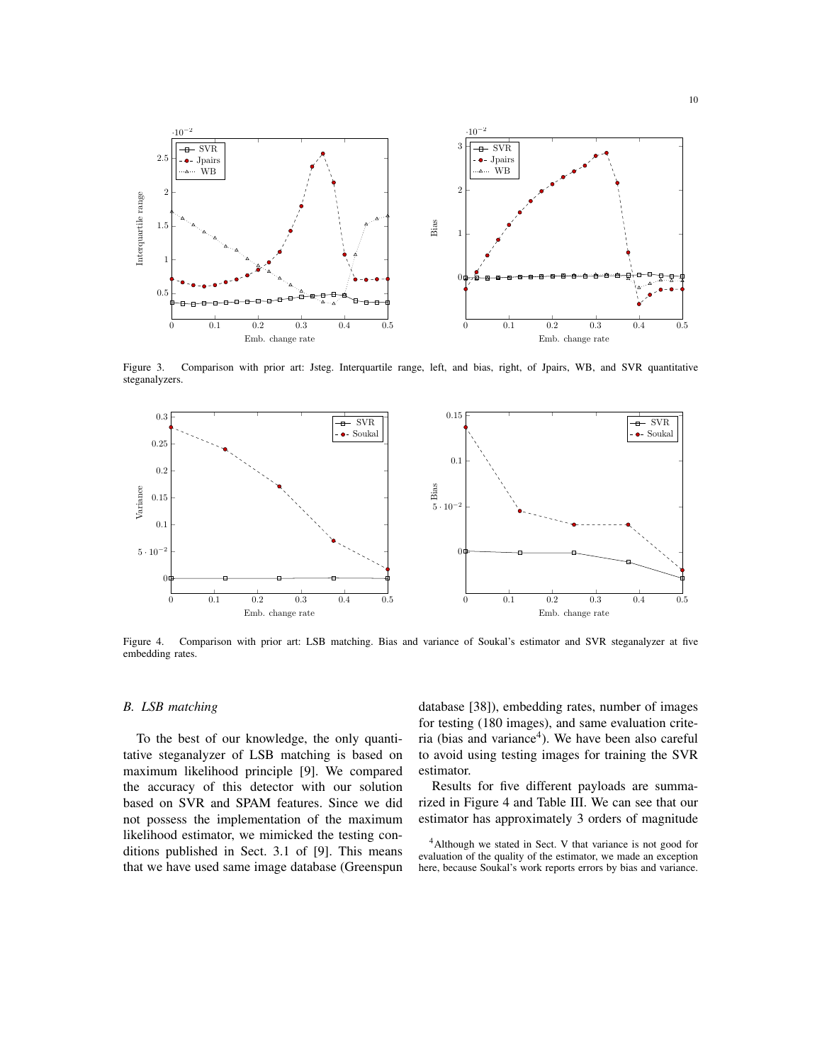

Figure 3. Comparison with prior art: Jsteg. Interquartile range, left, and bias, right, of Jpairs, WB, and SVR quantitative steganalyzers.



Figure 4. Comparison with prior art: LSB matching. Bias and variance of Soukal's estimator and SVR steganalyzer at five embedding rates.

# *B. LSB matching*

To the best of our knowledge, the only quantitative steganalyzer of LSB matching is based on maximum likelihood principle [9]. We compared the accuracy of this detector with our solution based on SVR and SPAM features. Since we did not possess the implementation of the maximum likelihood estimator, we mimicked the testing conditions published in Sect. 3.1 of [9]. This means that we have used same image database (Greenspun database [38]), embedding rates, number of images for testing (180 images), and same evaluation criteria (bias and variance<sup>4</sup>). We have been also careful to avoid using testing images for training the SVR estimator.

Results for five different payloads are summarized in Figure 4 and Table III. We can see that our estimator has approximately 3 orders of magnitude

<sup>4</sup>Although we stated in Sect. V that variance is not good for evaluation of the quality of the estimator, we made an exception here, because Soukal's work reports errors by bias and variance.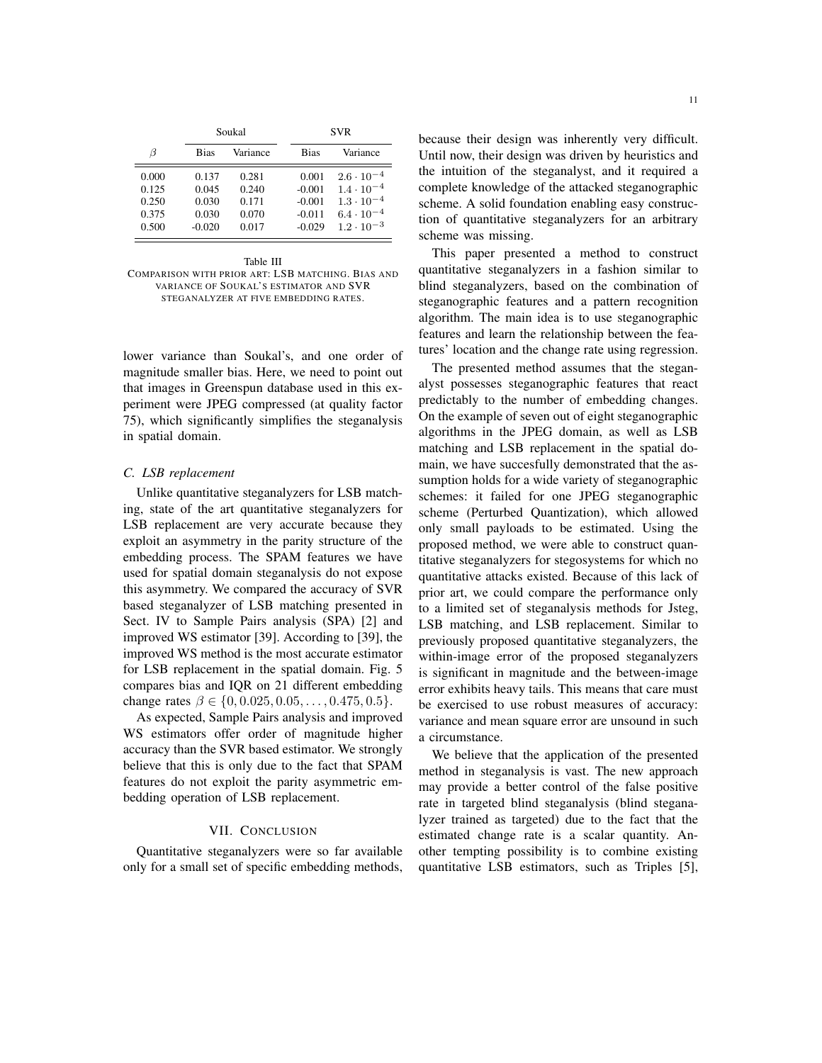|                                           |                                              | Soukal                                    | <b>SVR</b>                                            |                                                                                                                 |  |  |
|-------------------------------------------|----------------------------------------------|-------------------------------------------|-------------------------------------------------------|-----------------------------------------------------------------------------------------------------------------|--|--|
| B                                         | <b>Bias</b>                                  | Variance                                  |                                                       | Variance                                                                                                        |  |  |
| 0.000<br>0.125<br>0.250<br>0.375<br>0.500 | 0.137<br>0.045<br>0.030<br>0.030<br>$-0.020$ | 0.281<br>0.240<br>0.171<br>0.070<br>0.017 | 0.001<br>$-0.001$<br>$-0.001$<br>$-0.011$<br>$-0.029$ | $2.6 \cdot 10^{-4}$<br>$1.4 \cdot 10^{-4}$<br>$1.3 \cdot 10^{-4}$<br>$6.4 \cdot 10^{-4}$<br>$1.2 \cdot 10^{-3}$ |  |  |

Table III COMPARISON WITH PRIOR ART: LSB MATCHING. BIAS AND VARIANCE OF SOUKAL'S ESTIMATOR AND SVR STEGANALYZER AT FIVE EMBEDDING RATES.

lower variance than Soukal's, and one order of magnitude smaller bias. Here, we need to point out that images in Greenspun database used in this experiment were JPEG compressed (at quality factor 75), which significantly simplifies the steganalysis in spatial domain.

# *C. LSB replacement*

Unlike quantitative steganalyzers for LSB matching, state of the art quantitative steganalyzers for LSB replacement are very accurate because they exploit an asymmetry in the parity structure of the embedding process. The SPAM features we have used for spatial domain steganalysis do not expose this asymmetry. We compared the accuracy of SVR based steganalyzer of LSB matching presented in Sect. IV to Sample Pairs analysis (SPA) [2] and improved WS estimator [39]. According to [39], the improved WS method is the most accurate estimator for LSB replacement in the spatial domain. Fig. 5 compares bias and IQR on 21 different embedding change rates  $\beta \in \{0, 0.025, 0.05, \ldots, 0.475, 0.5\}.$ 

As expected, Sample Pairs analysis and improved WS estimators offer order of magnitude higher accuracy than the SVR based estimator. We strongly believe that this is only due to the fact that SPAM features do not exploit the parity asymmetric embedding operation of LSB replacement.

#### VII. CONCLUSION

Quantitative steganalyzers were so far available only for a small set of specific embedding methods,

because their design was inherently very difficult. Until now, their design was driven by heuristics and the intuition of the steganalyst, and it required a complete knowledge of the attacked steganographic scheme. A solid foundation enabling easy construction of quantitative steganalyzers for an arbitrary scheme was missing.

This paper presented a method to construct quantitative steganalyzers in a fashion similar to blind steganalyzers, based on the combination of steganographic features and a pattern recognition algorithm. The main idea is to use steganographic features and learn the relationship between the features' location and the change rate using regression.

The presented method assumes that the steganalyst possesses steganographic features that react predictably to the number of embedding changes. On the example of seven out of eight steganographic algorithms in the JPEG domain, as well as LSB matching and LSB replacement in the spatial domain, we have succesfully demonstrated that the assumption holds for a wide variety of steganographic schemes: it failed for one JPEG steganographic scheme (Perturbed Quantization), which allowed only small payloads to be estimated. Using the proposed method, we were able to construct quantitative steganalyzers for stegosystems for which no quantitative attacks existed. Because of this lack of prior art, we could compare the performance only to a limited set of steganalysis methods for Jsteg, LSB matching, and LSB replacement. Similar to previously proposed quantitative steganalyzers, the within-image error of the proposed steganalyzers is significant in magnitude and the between-image error exhibits heavy tails. This means that care must be exercised to use robust measures of accuracy: variance and mean square error are unsound in such a circumstance.

We believe that the application of the presented method in steganalysis is vast. The new approach may provide a better control of the false positive rate in targeted blind steganalysis (blind steganalyzer trained as targeted) due to the fact that the estimated change rate is a scalar quantity. Another tempting possibility is to combine existing quantitative LSB estimators, such as Triples [5],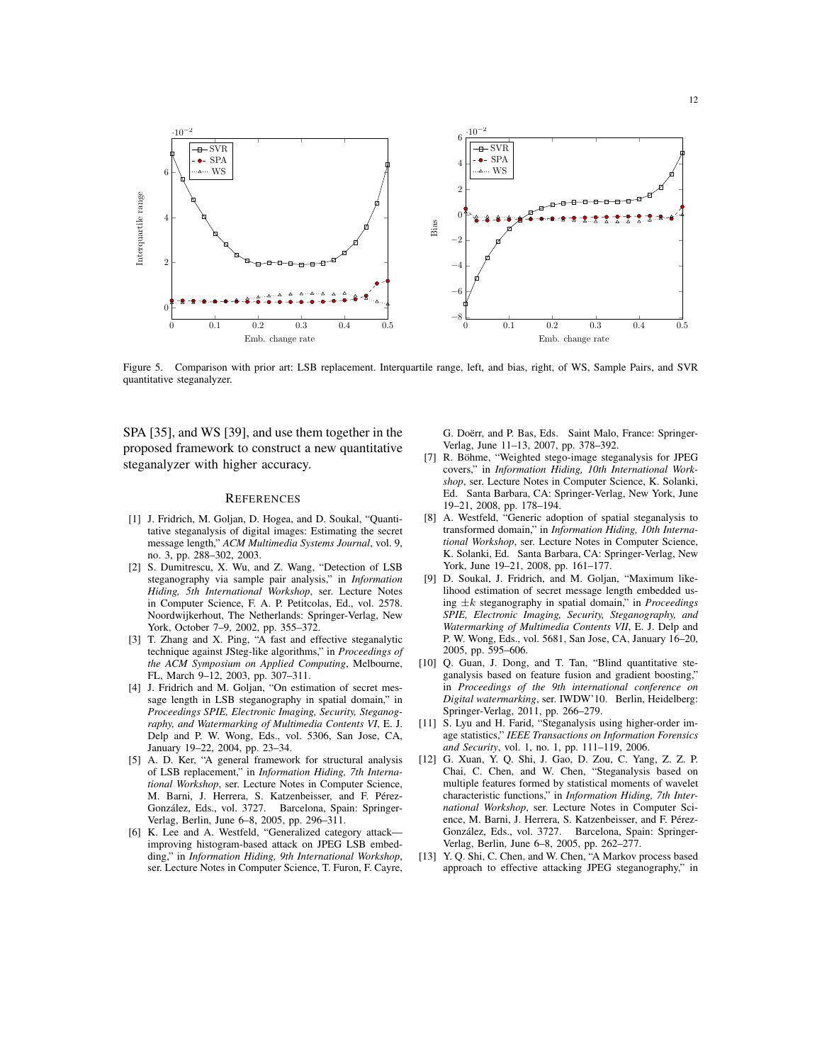

Figure 5. Comparison with prior art: LSB replacement. Interquartile range, left, and bias, right, of WS, Sample Pairs, and SVR quantitative steganalyzer.

SPA [35], and WS [39], and use them together in the proposed framework to construct a new quantitative steganalyzer with higher accuracy.

#### **REFERENCES**

- [1] J. Fridrich, M. Goljan, D. Hogea, and D. Soukal, "Quantitative steganalysis of digital images: Estimating the secret message length," *ACM Multimedia Systems Journal*, vol. 9, no. 3, pp. 288–302, 2003.
- [2] S. Dumitrescu, X. Wu, and Z. Wang, "Detection of LSB steganography via sample pair analysis," in *Information Hiding, 5th International Workshop*, ser. Lecture Notes in Computer Science, F. A. P. Petitcolas, Ed., vol. 2578. Noordwijkerhout, The Netherlands: Springer-Verlag, New York, October 7–9, 2002, pp. 355–372.
- [3] T. Zhang and X. Ping, "A fast and effective steganalytic technique against JSteg-like algorithms," in *Proceedings of the ACM Symposium on Applied Computing*, Melbourne, FL, March 9–12, 2003, pp. 307–311.
- [4] J. Fridrich and M. Goljan, "On estimation of secret message length in LSB steganography in spatial domain," in *Proceedings SPIE, Electronic Imaging, Security, Steganography, and Watermarking of Multimedia Contents VI*, E. J. Delp and P. W. Wong, Eds., vol. 5306, San Jose, CA, January 19–22, 2004, pp. 23–34.
- [5] A. D. Ker, "A general framework for structural analysis of LSB replacement," in *Information Hiding, 7th International Workshop*, ser. Lecture Notes in Computer Science, M. Barni, J. Herrera, S. Katzenbeisser, and F. Pérez-González, Eds., vol. 3727. Barcelona, Spain: Springer-Verlag, Berlin, June 6–8, 2005, pp. 296–311.
- [6] K. Lee and A. Westfeld, "Generalized category attack improving histogram-based attack on JPEG LSB embedding," in *Information Hiding, 9th International Workshop*, ser. Lecture Notes in Computer Science, T. Furon, F. Cayre,

G. Doërr, and P. Bas, Eds. Saint Malo, France: Springer-Verlag, June 11–13, 2007, pp. 378–392.

- [7] R. Böhme, "Weighted stego-image steganalysis for JPEG covers," in *Information Hiding, 10th International Workshop*, ser. Lecture Notes in Computer Science, K. Solanki, Ed. Santa Barbara, CA: Springer-Verlag, New York, June 19–21, 2008, pp. 178–194.
- [8] A. Westfeld, "Generic adoption of spatial steganalysis to transformed domain," in *Information Hiding, 10th International Workshop*, ser. Lecture Notes in Computer Science, K. Solanki, Ed. Santa Barbara, CA: Springer-Verlag, New York, June 19–21, 2008, pp. 161–177.
- [9] D. Soukal, J. Fridrich, and M. Goljan, "Maximum likelihood estimation of secret message length embedded using ±k steganography in spatial domain," in *Proceedings SPIE, Electronic Imaging, Security, Steganography, and Watermarking of Multimedia Contents VII*, E. J. Delp and P. W. Wong, Eds., vol. 5681, San Jose, CA, January 16–20, 2005, pp. 595–606.
- [10] Q. Guan, J. Dong, and T. Tan, "Blind quantitative steganalysis based on feature fusion and gradient boosting," in *Proceedings of the 9th international conference on Digital watermarking*, ser. IWDW'10. Berlin, Heidelberg: Springer-Verlag, 2011, pp. 266–279.
- [11] S. Lyu and H. Farid, "Steganalysis using higher-order image statistics," *IEEE Transactions on Information Forensics and Security*, vol. 1, no. 1, pp. 111–119, 2006.
- [12] G. Xuan, Y. Q. Shi, J. Gao, D. Zou, C. Yang, Z. Z. P. Chai, C. Chen, and W. Chen, "Steganalysis based on multiple features formed by statistical moments of wavelet characteristic functions," in *Information Hiding, 7th International Workshop*, ser. Lecture Notes in Computer Science, M. Barni, J. Herrera, S. Katzenbeisser, and F. Pérez-González, Eds., vol. 3727. Barcelona, Spain: Springer-Verlag, Berlin, June 6–8, 2005, pp. 262–277.
- [13] Y. Q. Shi, C. Chen, and W. Chen, "A Markov process based approach to effective attacking JPEG steganography," in